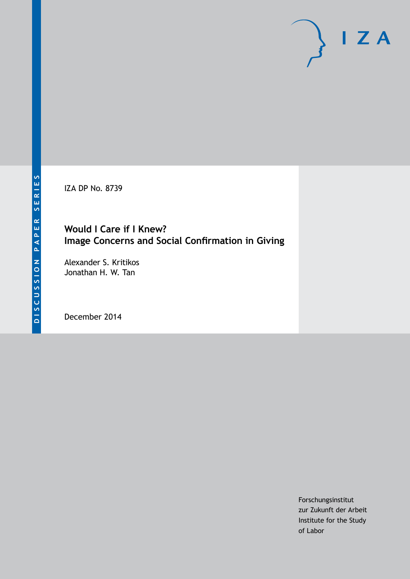IZA DP No. 8739

# **Would I Care if I Knew? Image Concerns and Social Confirmation in Giving**

Alexander S. Kritikos Jonathan H. W. Tan

December 2014

Forschungsinstitut zur Zukunft der Arbeit Institute for the Study of Labor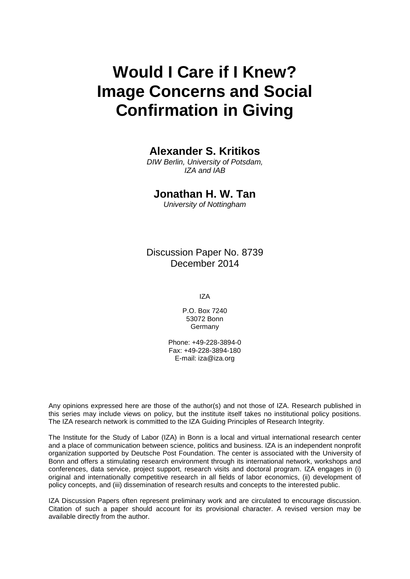# **Would I Care if I Knew? Image Concerns and Social Confirmation in Giving**

# **Alexander S. Kritikos**

*DIW Berlin, University of Potsdam, IZA and IAB*

## **Jonathan H. W. Tan**

*University of Nottingham*

Discussion Paper No. 8739 December 2014

IZA

P.O. Box 7240 53072 Bonn **Germany** 

Phone: +49-228-3894-0 Fax: +49-228-3894-180 E-mail: [iza@iza.org](mailto:iza@iza.org)

Any opinions expressed here are those of the author(s) and not those of IZA. Research published in this series may include views on policy, but the institute itself takes no institutional policy positions. The IZA research network is committed to the IZA Guiding Principles of Research Integrity.

The Institute for the Study of Labor (IZA) in Bonn is a local and virtual international research center and a place of communication between science, politics and business. IZA is an independent nonprofit organization supported by Deutsche Post Foundation. The center is associated with the University of Bonn and offers a stimulating research environment through its international network, workshops and conferences, data service, project support, research visits and doctoral program. IZA engages in (i) original and internationally competitive research in all fields of labor economics, (ii) development of policy concepts, and (iii) dissemination of research results and concepts to the interested public.

<span id="page-1-0"></span>IZA Discussion Papers often represent preliminary work and are circulated to encourage discussion. Citation of such a paper should account for its provisional character. A revised version may be available directly from the author.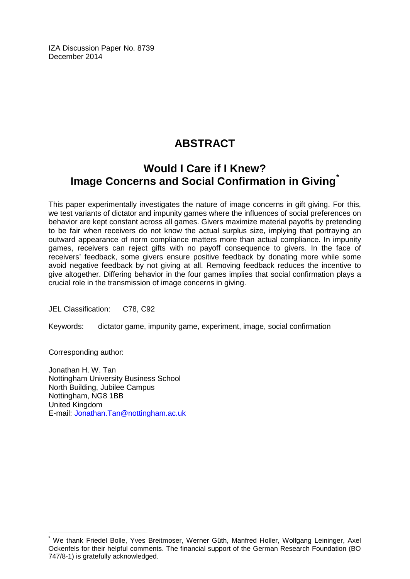IZA Discussion Paper No. 8739 December 2014

# **ABSTRACT**

# **Would I Care if I Knew? Image Concerns and Social Confirmation in Giving[\\*](#page-1-0)**

This paper experimentally investigates the nature of image concerns in gift giving. For this, we test variants of dictator and impunity games where the influences of social preferences on behavior are kept constant across all games. Givers maximize material payoffs by pretending to be fair when receivers do not know the actual surplus size, implying that portraying an outward appearance of norm compliance matters more than actual compliance. In impunity games, receivers can reject gifts with no payoff consequence to givers. In the face of receivers' feedback, some givers ensure positive feedback by donating more while some avoid negative feedback by not giving at all. Removing feedback reduces the incentive to give altogether. Differing behavior in the four games implies that social confirmation plays a crucial role in the transmission of image concerns in giving.

JEL Classification: C78, C92

Keywords: dictator game, impunity game, experiment, image, social confirmation

Corresponding author:

Jonathan H. W. Tan Nottingham University Business School North Building, Jubilee Campus Nottingham, NG8 1BB United Kingdom E-mail: [Jonathan.Tan@nottingham.ac.uk](mailto:Jonathan.Tan@nottingham.ac.uk)

\* We thank Friedel Bolle, Yves Breitmoser, Werner Güth, Manfred Holler, Wolfgang Leininger, Axel Ockenfels for their helpful comments. The financial support of the German Research Foundation (BO 747/8-1) is gratefully acknowledged.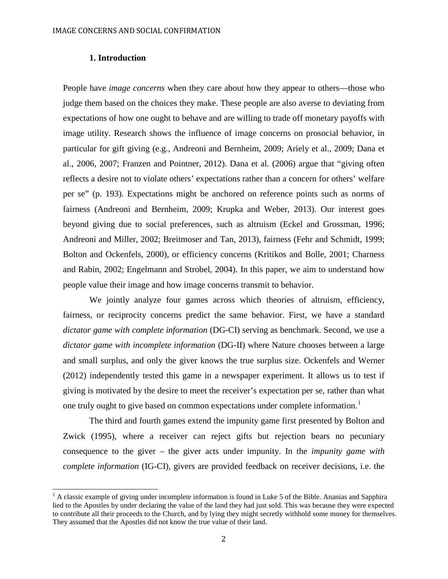#### **1. Introduction**

People have *image concerns* when they care about how they appear to others—those who judge them based on the choices they make. These people are also averse to deviating from expectations of how one ought to behave and are willing to trade off monetary payoffs with image utility. Research shows the influence of image concerns on prosocial behavior, in particular for gift giving (e.g., Andreoni and Bernheim, 2009; Ariely et al., 2009; Dana et al., 2006, 2007; Franzen and Pointner, 2012). Dana et al. (2006) argue that "giving often reflects a desire not to violate others' expectations rather than a concern for others' welfare per se" (p. 193). Expectations might be anchored on reference points such as norms of fairness (Andreoni and Bernheim, 2009; Krupka and Weber, 2013). Our interest goes beyond giving due to social preferences, such as altruism (Eckel and Grossman, 1996; Andreoni and Miller, 2002; Breitmoser and Tan, 2013), fairness (Fehr and Schmidt, 1999; Bolton and Ockenfels, 2000), or efficiency concerns (Kritikos and Bolle, 2001; Charness and Rabin, 2002; Engelmann and Strobel, 2004). In this paper, we aim to understand how people value their image and how image concerns transmit to behavior.

We jointly analyze four games across which theories of altruism, efficiency, fairness, or reciprocity concerns predict the same behavior. First, we have a standard *dictator game with complete information* (DG-CI) serving as benchmark. Second, we use a *dictator game with incomplete information* (DG-II) where Nature chooses between a large and small surplus, and only the giver knows the true surplus size. Ockenfels and Werner (2012) independently tested this game in a newspaper experiment. It allows us to test if giving is motivated by the desire to meet the receiver's expectation per se, rather than what one truly ought to give based on common expectations under complete information.<sup>[1](#page-3-0)</sup>

The third and fourth games extend the impunity game first presented by Bolton and Zwick (1995), where a receiver can reject gifts but rejection bears no pecuniary consequence to the giver – the giver acts under impunity. In the *impunity game with complete information* (IG-CI), givers are provided feedback on receiver decisions, i.e. the

<span id="page-3-0"></span> $<sup>1</sup>$  A classic example of giving under incomplete information is found in Luke 5 of the Bible. Ananias and Sapphira</sup> lied to the Apostles by under declaring the value of the land they had just sold. This was because they were expected to contribute all their proceeds to the Church, and by lying they might secretly withhold some money for themselves. They assumed that the Apostles did not know the true value of their land.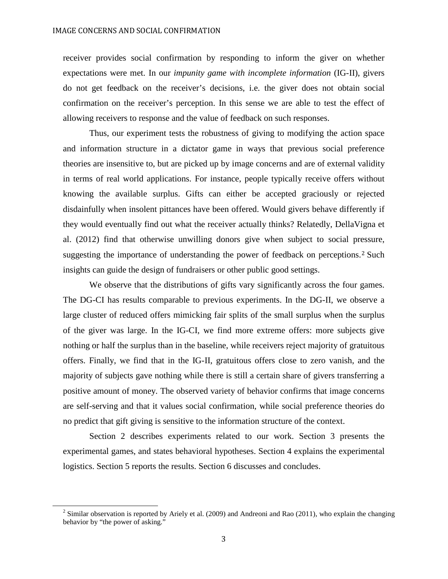receiver provides social confirmation by responding to inform the giver on whether expectations were met. In our *impunity game with incomplete information* (IG-II), givers do not get feedback on the receiver's decisions, i.e. the giver does not obtain social confirmation on the receiver's perception. In this sense we are able to test the effect of allowing receivers to response and the value of feedback on such responses.

Thus, our experiment tests the robustness of giving to modifying the action space and information structure in a dictator game in ways that previous social preference theories are insensitive to, but are picked up by image concerns and are of external validity in terms of real world applications. For instance, people typically receive offers without knowing the available surplus. Gifts can either be accepted graciously or rejected disdainfully when insolent pittances have been offered. Would givers behave differently if they would eventually find out what the receiver actually thinks? Relatedly, DellaVigna et al. (2012) find that otherwise unwilling donors give when subject to social pr[es](#page-4-0)sure, suggesting the importance of understanding the power of feedback on perceptions.<sup>2</sup> Such insights can guide the design of fundraisers or other public good settings.

We observe that the distributions of gifts vary significantly across the four games. The DG-CI has results comparable to previous experiments. In the DG-II, we observe a large cluster of reduced offers mimicking fair splits of the small surplus when the surplus of the giver was large. In the IG-CI, we find more extreme offers: more subjects give nothing or half the surplus than in the baseline, while receivers reject majority of gratuitous offers. Finally, we find that in the IG-II, gratuitous offers close to zero vanish, and the majority of subjects gave nothing while there is still a certain share of givers transferring a positive amount of money. The observed variety of behavior confirms that image concerns are self-serving and that it values social confirmation, while social preference theories do no predict that gift giving is sensitive to the information structure of the context.

Section 2 describes experiments related to our work. Section 3 presents the experimental games, and states behavioral hypotheses. Section 4 explains the experimental logistics. Section 5 reports the results. Section 6 discusses and concludes.

<span id="page-4-0"></span><sup>&</sup>lt;sup>2</sup> Similar observation is reported by Ariely et al. (2009) and Andreoni and Rao (2011), who explain the changing behavior by "the power of asking."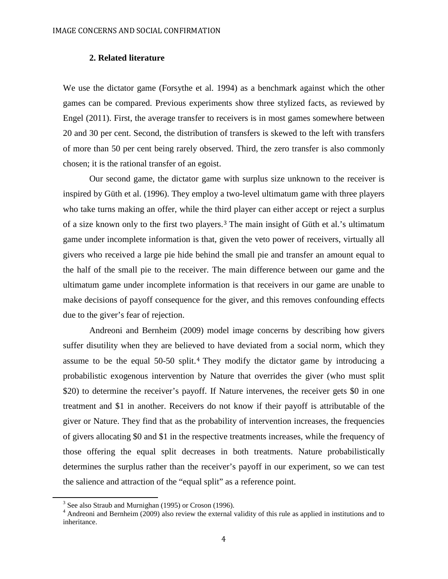#### **2. Related literature**

We use the dictator game (Forsythe et al. 1994) as a benchmark against which the other games can be compared. Previous experiments show three stylized facts, as reviewed by Engel (2011). First, the average transfer to receivers is in most games somewhere between 20 and 30 per cent. Second, the distribution of transfers is skewed to the left with transfers of more than 50 per cent being rarely observed. Third, the zero transfer is also commonly chosen; it is the rational transfer of an egoist.

Our second game, the dictator game with surplus size unknown to the receiver is inspired by Güth et al. (1996). They employ a two-level ultimatum game with three players who take turns making an offer, while the th[ir](#page-5-0)d player can either accept or reject a surplus of a size known only to the first two players.<sup>3</sup> The main insight of Güth et al.'s ultimatum game under incomplete information is that, given the veto power of receivers, virtually all givers who received a large pie hide behind the small pie and transfer an amount equal to the half of the small pie to the receiver. The main difference between our game and the ultimatum game under incomplete information is that receivers in our game are unable to make decisions of payoff consequence for the giver, and this removes confounding effects due to the giver's fear of rejection.

Andreoni and Bernheim (2009) model image concerns by describing how givers suffer disutility when they are believ[ed](#page-5-1) to have deviated from a social norm, which they assume to be the equal 50-50 split.<sup>4</sup> They modify the dictator game by introducing a probabilistic exogenous intervention by Nature that overrides the giver (who must split \$20) to determine the receiver's payoff. If Nature intervenes, the receiver gets \$0 in one treatment and \$1 in another. Receivers do not know if their payoff is attributable of the giver or Nature. They find that as the probability of intervention increases, the frequencies of givers allocating \$0 and \$1 in the respective treatments increases, while the frequency of those offering the equal split decreases in both treatments. Nature probabilistically determines the surplus rather than the receiver's payoff in our experiment, so we can test the salience and attraction of the "equal split" as a reference point.

<span id="page-5-0"></span><sup>&</sup>lt;sup>3</sup> See also Straub and Murnighan (1995) or Croson (1996).

<span id="page-5-1"></span><sup>&</sup>lt;sup>4</sup> Andreoni and Bernheim (2009) also review the external validity of this rule as applied in institutions and to inheritance.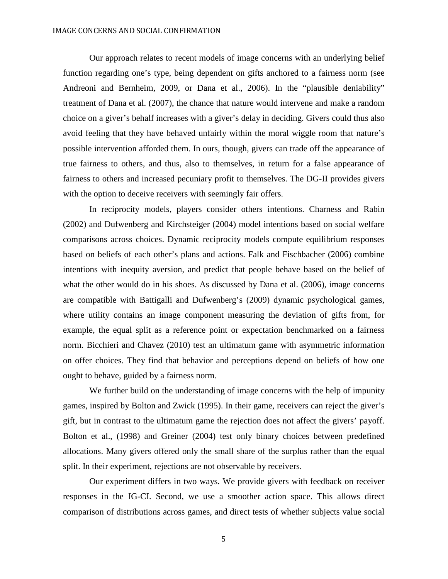Our approach relates to recent models of image concerns with an underlying belief function regarding one's type, being dependent on gifts anchored to a fairness norm (see Andreoni and Bernheim, 2009, or Dana et al., 2006). In the "plausible deniability" treatment of Dana et al. (2007), the chance that nature would intervene and make a random choice on a giver's behalf increases with a giver's delay in deciding. Givers could thus also avoid feeling that they have behaved unfairly within the moral wiggle room that nature's possible intervention afforded them. In ours, though, givers can trade off the appearance of true fairness to others, and thus, also to themselves, in return for a false appearance of fairness to others and increased pecuniary profit to themselves. The DG-II provides givers with the option to deceive receivers with seemingly fair offers.

In reciprocity models, players consider others intentions. Charness and Rabin (2002) and Dufwenberg and Kirchsteiger (2004) model intentions based on social welfare comparisons across choices. Dynamic reciprocity models compute equilibrium responses based on beliefs of each other's plans and actions. Falk and Fischbacher (2006) combine intentions with inequity aversion, and predict that people behave based on the belief of what the other would do in his shoes. As discussed by Dana et al. (2006), image concerns are compatible with Battigalli and Dufwenberg's (2009) dynamic psychological games, where utility contains an image component measuring the deviation of gifts from, for example, the equal split as a reference point or expectation benchmarked on a fairness norm. Bicchieri and Chavez (2010) test an ultimatum game with asymmetric information on offer choices. They find that behavior and perceptions depend on beliefs of how one ought to behave, guided by a fairness norm.

We further build on the understanding of image concerns with the help of impunity games, inspired by Bolton and Zwick (1995). In their game, receivers can reject the giver's gift, but in contrast to the ultimatum game the rejection does not affect the givers' payoff. Bolton et al., (1998) and Greiner (2004) test only binary choices between predefined allocations. Many givers offered only the small share of the surplus rather than the equal split. In their experiment, rejections are not observable by receivers.

Our experiment differs in two ways. We provide givers with feedback on receiver responses in the IG-CI. Second, we use a smoother action space. This allows direct comparison of distributions across games, and direct tests of whether subjects value social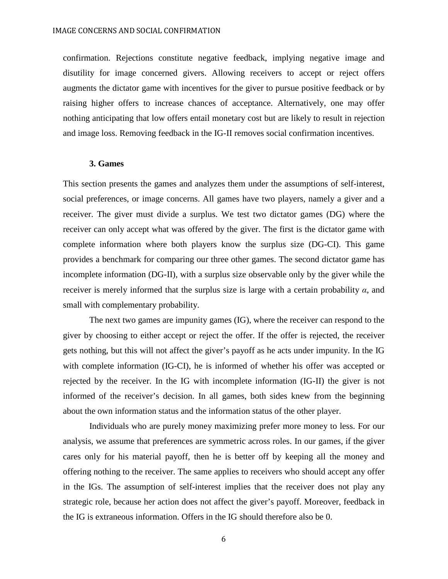confirmation. Rejections constitute negative feedback, implying negative image and disutility for image concerned givers. Allowing receivers to accept or reject offers augments the dictator game with incentives for the giver to pursue positive feedback or by raising higher offers to increase chances of acceptance. Alternatively, one may offer nothing anticipating that low offers entail monetary cost but are likely to result in rejection and image loss. Removing feedback in the IG-II removes social confirmation incentives.

#### **3. Games**

This section presents the games and analyzes them under the assumptions of self-interest, social preferences, or image concerns. All games have two players, namely a giver and a receiver. The giver must divide a surplus. We test two dictator games (DG) where the receiver can only accept what was offered by the giver. The first is the dictator game with complete information where both players know the surplus size (DG-CI). This game provides a benchmark for comparing our three other games. The second dictator game has incomplete information (DG-II), with a surplus size observable only by the giver while the receiver is merely informed that the surplus size is large with a certain probability *α*, and small with complementary probability.

The next two games are impunity games (IG), where the receiver can respond to the giver by choosing to either accept or reject the offer. If the offer is rejected, the receiver gets nothing, but this will not affect the giver's payoff as he acts under impunity. In the IG with complete information (IG-CI), he is informed of whether his offer was accepted or rejected by the receiver. In the IG with incomplete information (IG-II) the giver is not informed of the receiver's decision. In all games, both sides knew from the beginning about the own information status and the information status of the other player.

Individuals who are purely money maximizing prefer more money to less. For our analysis, we assume that preferences are symmetric across roles. In our games, if the giver cares only for his material payoff, then he is better off by keeping all the money and offering nothing to the receiver. The same applies to receivers who should accept any offer in the IGs. The assumption of self-interest implies that the receiver does not play any strategic role, because her action does not affect the giver's payoff. Moreover, feedback in the IG is extraneous information. Offers in the IG should therefore also be 0.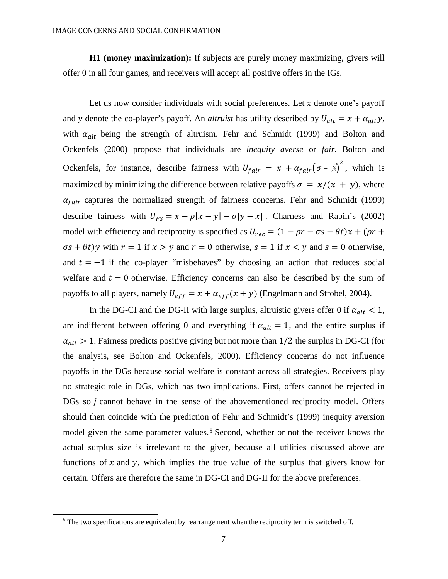**H1 (money maximization):** If subjects are purely money maximizing, givers will offer 0 in all four games, and receivers will accept all positive offers in the IGs.

Let us now consider individuals with social preferences. Let  $x$  denote one's payoff and y denote the co-player's payoff. An *altruist* has utility described by  $U_{alt} = x + \alpha_{alt}y$ , with  $\alpha_{alt}$  being the strength of altruism. Fehr and Schmidt (1999) and Bolton and Ockenfels (2000) propose that individuals are *inequity averse* or *fair*. Bolton and Ockenfels, for instance, describe fairness with  $U_{fair} = x + \alpha_{fair} (\sigma - \frac{1}{2})^2$ , which is maximized by minimizing the difference between relative payoffs  $\sigma = x/(x + y)$ , where  $\alpha_{fair}$  captures the normalized strength of fairness concerns. Fehr and Schmidt (1999) describe fairness with  $U_{FS} = x - \rho |x - y| - \sigma |y - x|$ . Charness and Rabin's (2002) model with efficiency and reciprocity is specified as  $U_{rec} = (1 - \rho r - \sigma s - \theta t)x + (\rho r + \sigma t)$  $\sigma s + \theta t$ ) with  $r = 1$  if  $x > y$  and  $r = 0$  otherwise,  $s = 1$  if  $x < y$  and  $s = 0$  otherwise, and  $t = -1$  if the co-player "misbehaves" by choosing an action that reduces social welfare and  $t = 0$  otherwise. Efficiency concerns can also be described by the sum of payoffs to all players, namely  $U_{eff} = x + \alpha_{eff}(x + y)$  (Engelmann and Strobel, 2004).

In the DG-CI and the DG-II with large surplus, altruistic givers offer 0 if  $\alpha_{alt} < 1$ , are indifferent between offering 0 and everything if  $\alpha_{alt} = 1$ , and the entire surplus if  $\alpha_{alt} > 1$ . Fairness predicts positive giving but not more than 1/2 the surplus in DG-CI (for the analysis, see Bolton and Ockenfels, 2000). Efficiency concerns do not influence payoffs in the DGs because social welfare is constant across all strategies. Receivers play no strategic role in DGs, which has two implications. First, offers cannot be rejected in  $DGs$  so  $j$  cannot behave in the sense of the abovementioned reciprocity model. Offers should then coincide with the prediction [o](#page-8-0)f Fehr and Schmidt's (1999) inequity aversion model given the same parameter values.<sup>5</sup> Second, whether or not the receiver knows the actual surplus size is irrelevant to the giver, because all utilities discussed above are functions of  $x$  and  $y$ , which implies the true value of the surplus that givers know for certain. Offers are therefore the same in DG-CI and DG-II for the above preferences.

<span id="page-8-0"></span><sup>&</sup>lt;sup>5</sup> The two specifications are equivalent by rearrangement when the reciprocity term is switched off.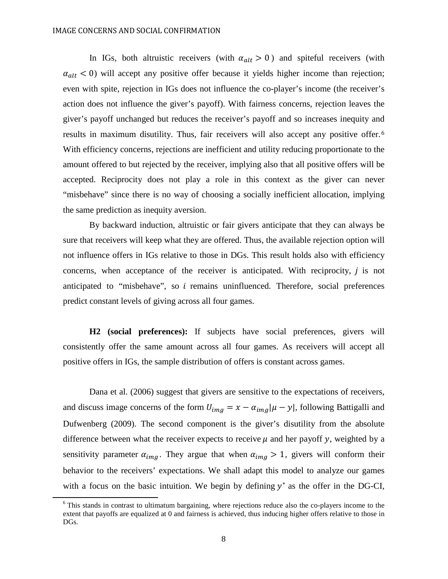In IGs, both altruistic receivers (with  $\alpha_{alt} > 0$ ) and spiteful receivers (with  $\alpha_{alt}$  < 0) will accept any positive offer because it yields higher income than rejection; even with spite, rejection in IGs does not influence the co-player's income (the receiver's action does not influence the giver's payoff). With fairness concerns, rejection leaves the giver's payoff unchanged but reduces the receiver's payoff and so increases inequity an[d](#page-9-0)  results in maximum disutility. Thus, fair receivers will also accept any positive offer. <sup>6</sup> With efficiency concerns, rejections are inefficient and utility reducing proportionate to the amount offered to but rejected by the receiver, implying also that all positive offers will be accepted. Reciprocity does not play a role in this context as the giver can never "misbehave" since there is no way of choosing a socially inefficient allocation, implying the same prediction as inequity aversion.

By backward induction, altruistic or fair givers anticipate that they can always be sure that receivers will keep what they are offered. Thus, the available rejection option will not influence offers in IGs relative to those in DGs. This result holds also with efficiency concerns, when acceptance of the receiver is anticipated. With reciprocity,  $\dot{j}$  is not anticipated to "misbehave", so  $i$  remains uninfluenced. Therefore, social preferences predict constant levels of giving across all four games.

**H2 (social preferences):** If subjects have social preferences, givers will consistently offer the same amount across all four games. As receivers will accept all positive offers in IGs, the sample distribution of offers is constant across games.

Dana et al. (2006) suggest that givers are sensitive to the expectations of receivers, and discuss image concerns of the form  $U_{img} = x - \alpha_{img} |\mu - y|$ , following Battigalli and Dufwenberg (2009). The second component is the giver's disutility from the absolute difference between what the receiver expects to receive  $\mu$  and her payoff y, weighted by a sensitivity parameter  $\alpha_{imq}$ . They argue that when  $\alpha_{imq} > 1$ , givers will conform their behavior to the receivers' expectations. We shall adapt this model to analyze our games with a focus on the basic intuition. We begin by defining  $y^*$  as the offer in the DG-CI,

<span id="page-9-0"></span><sup>&</sup>lt;sup>6</sup> This stands in contrast to ultimatum bargaining, where rejections reduce also the co-players income to the extent that payoffs are equalized at 0 and fairness is achieved, thus inducing higher offers relative to those in DGs.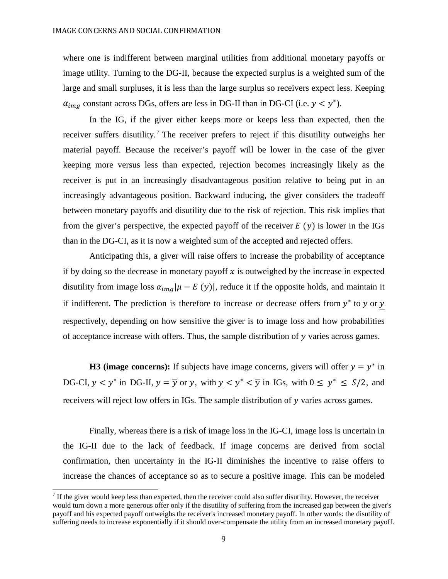where one is indifferent between marginal utilities from additional monetary payoffs or image utility. Turning to the DG-II, because the expected surplus is a weighted sum of the large and small surpluses, it is less than the large surplus so receivers expect less. Keeping  $\alpha_{im\alpha}$  constant across DGs, offers are less in DG-II than in DG-CI (i.e.  $y < y^*$ ).

In the IG, if the giver either keeps more or keeps less than expected, then the receiver suffers disutility.<sup>[7](#page-10-0)</sup> The receiver prefers to reject if this disutility outweighs her material payoff. Because the receiver's payoff will be lower in the case of the giver keeping more versus less than expected, rejection becomes increasingly likely as the receiver is put in an increasingly disadvantageous position relative to being put in an increasingly advantageous position. Backward inducing, the giver considers the tradeoff between monetary payoffs and disutility due to the risk of rejection. This risk implies that from the giver's perspective, the expected payoff of the receiver  $E(y)$  is lower in the IGs than in the DG-CI, as it is now a weighted sum of the accepted and rejected offers.

Anticipating this, a giver will raise offers to increase the probability of acceptance if by doing so the decrease in monetary payoff  $x$  is outweighed by the increase in expected disutility from image loss  $\alpha_{img}$  | $\mu - E(y)$ |, reduce it if the opposite holds, and maintain it if indifferent. The prediction is therefore to increase or decrease offers from  $y^*$  to  $\overline{y}$  or  $y$ respectively, depending on how sensitive the giver is to image loss and how probabilities of acceptance increase with offers. Thus, the sample distribution of  $y$  varies across games.

**H3** (image concerns): If subjects have image concerns, givers will offer  $v = v^*$  in DG-CI,  $y < y^*$  in DG-II,  $y = \overline{y}$  or y, with  $y < y^* < \overline{y}$  in IGs, with  $0 \le y^* \le S/2$ , and receivers will reject low offers in IGs. The sample distribution of  $\nu$  varies across games.

Finally, whereas there is a risk of image loss in the IG-CI, image loss is uncertain in the IG-II due to the lack of feedback. If image concerns are derived from social confirmation, then uncertainty in the IG-II diminishes the incentive to raise offers to increase the chances of acceptance so as to secure a positive image. This can be modeled

<span id="page-10-0"></span> $<sup>7</sup>$  If the giver would keep less than expected, then the receiver could also suffer disutility. However, the receiver</sup> would turn down a more generous offer only if the disutility of suffering from the increased gap between the giver's payoff and his expected payoff outweighs the receiver's increased monetary payoff. In other words: the disutility of suffering needs to increase exponentially if it should over-compensate the utility from an increased monetary payoff.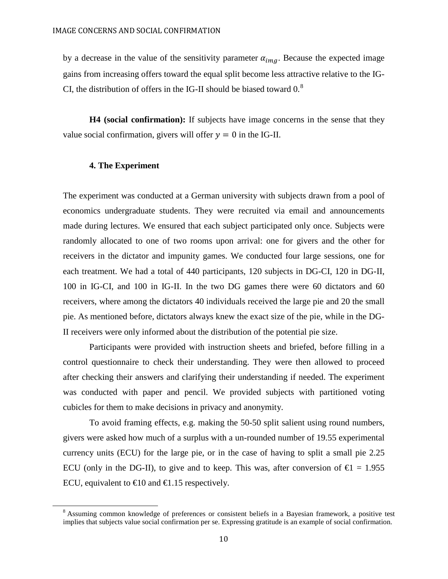by a decrease in the value of the sensitivity parameter  $\alpha_{img}$ . Because the expected image gains from increasing offers toward the equal split become less attractive relative to the IG-CI, the distribution of offers in the IG-II should be biased toward  $0<sup>8</sup>$  $0<sup>8</sup>$  $0<sup>8</sup>$ 

**H4 (social confirmation):** If subjects have image concerns in the sense that they value social confirmation, givers will offer  $y = 0$  in the IG-II.

#### **4. The Experiment**

The experiment was conducted at a German university with subjects drawn from a pool of economics undergraduate students. They were recruited via email and announcements made during lectures. We ensured that each subject participated only once. Subjects were randomly allocated to one of two rooms upon arrival: one for givers and the other for receivers in the dictator and impunity games. We conducted four large sessions, one for each treatment. We had a total of 440 participants, 120 subjects in DG-CI, 120 in DG-II, 100 in IG-CI, and 100 in IG-II. In the two DG games there were 60 dictators and 60 receivers, where among the dictators 40 individuals received the large pie and 20 the small pie. As mentioned before, dictators always knew the exact size of the pie, while in the DG-II receivers were only informed about the distribution of the potential pie size.

Participants were provided with instruction sheets and briefed, before filling in a control questionnaire to check their understanding. They were then allowed to proceed after checking their answers and clarifying their understanding if needed. The experiment was conducted with paper and pencil. We provided subjects with partitioned voting cubicles for them to make decisions in privacy and anonymity.

To avoid framing effects, e.g. making the 50-50 split salient using round numbers, givers were asked how much of a surplus with a un-rounded number of 19.55 experimental currency units (ECU) for the large pie, or in the case of having to split a small pie 2.25 ECU (only in the DG-II), to give and to keep. This was, after conversion of  $\epsilon$  = 1.955 ECU, equivalent to  $\in$  10 and  $\in$  1.15 respectively.

<span id="page-11-0"></span><sup>&</sup>lt;sup>8</sup> Assuming common knowledge of preferences or consistent beliefs in a Bayesian framework, a positive test implies that subjects value social confirmation per se. Expressing gratitude is an example of social confirmation.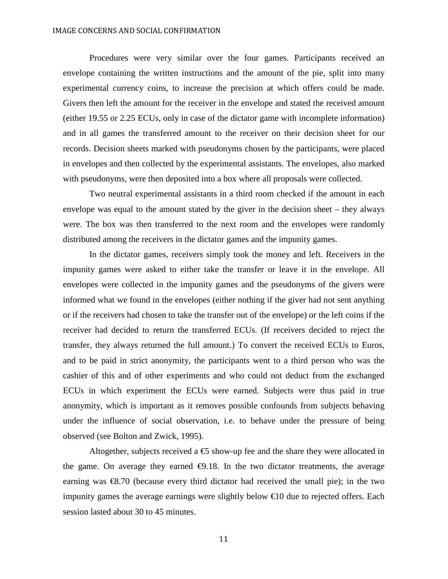Procedures were very similar over the four games. Participants received an envelope containing the written instructions and the amount of the pie, split into many experimental currency coins, to increase the precision at which offers could be made. Givers then left the amount for the receiver in the envelope and stated the received amount (either 19.55 or 2.25 ECUs, only in case of the dictator game with incomplete information) and in all games the transferred amount to the receiver on their decision sheet for our records. Decision sheets marked with pseudonyms chosen by the participants, were placed in envelopes and then collected by the experimental assistants. The envelopes, also marked with pseudonyms, were then deposited into a box where all proposals were collected.

Two neutral experimental assistants in a third room checked if the amount in each envelope was equal to the amount stated by the giver in the decision sheet – they always were. The box was then transferred to the next room and the envelopes were randomly distributed among the receivers in the dictator games and the impunity games.

In the dictator games, receivers simply took the money and left. Receivers in the impunity games were asked to either take the transfer or leave it in the envelope. All envelopes were collected in the impunity games and the pseudonyms of the givers were informed what we found in the envelopes (either nothing if the giver had not sent anything or if the receivers had chosen to take the transfer out of the envelope) or the left coins if the receiver had decided to return the transferred ECUs. (If receivers decided to reject the transfer, they always returned the full amount.) To convert the received ECUs to Euros, and to be paid in strict anonymity, the participants went to a third person who was the cashier of this and of other experiments and who could not deduct from the exchanged ECUs in which experiment the ECUs were earned. Subjects were thus paid in true anonymity, which is important as it removes possible confounds from subjects behaving under the influence of social observation, i.e. to behave under the pressure of being observed (see Bolton and Zwick, 1995).

Altogether, subjects received a  $\epsilon$  show-up fee and the share they were allocated in the game. On average they earned  $\Theta$ .18. In the two dictator treatments, the average earning was  $\mathcal{R}3.70$  (because every third dictator had received the small pie); in the two impunity games the average earnings were slightly below  $\bigoplus$  due to rejected offers. Each session lasted about 30 to 45 minutes.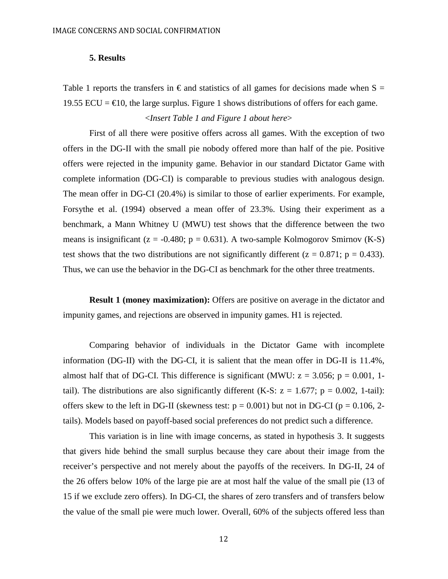#### **5. Results**

Table 1 reports the transfers in  $\epsilon$  and statistics of all games for decisions made when S = 19.55 ECU =  $\epsilon$ 10, the large surplus. Figure 1 shows distributions of offers for each game.

#### <*Insert Table 1 and Figure 1 about here*>

First of all there were positive offers across all games. With the exception of two offers in the DG-II with the small pie nobody offered more than half of the pie. Positive offers were rejected in the impunity game. Behavior in our standard Dictator Game with complete information (DG-CI) is comparable to previous studies with analogous design. The mean offer in DG-CI (20.4%) is similar to those of earlier experiments. For example, Forsythe et al. (1994) observed a mean offer of 23.3%. Using their experiment as a benchmark, a Mann Whitney U (MWU) test shows that the difference between the two means is insignificant ( $z = -0.480$ ;  $p = 0.631$ ). A two-sample Kolmogorov Smirnov (K-S) test shows that the two distributions are not significantly different ( $z = 0.871$ ;  $p = 0.433$ ). Thus, we can use the behavior in the DG-CI as benchmark for the other three treatments.

**Result 1 (money maximization):** Offers are positive on average in the dictator and impunity games, and rejections are observed in impunity games. H1 is rejected.

Comparing behavior of individuals in the Dictator Game with incomplete information (DG-II) with the DG-CI, it is salient that the mean offer in DG-II is 11.4%, almost half that of DG-CI. This difference is significant (MWU:  $z = 3.056$ ;  $p = 0.001$ , 1tail). The distributions are also significantly different (K-S:  $z = 1.677$ ;  $p = 0.002$ , 1-tail): offers skew to the left in DG-II (skewness test:  $p = 0.001$ ) but not in DG-CI ( $p = 0.106$ , 2tails). Models based on payoff-based social preferences do not predict such a difference.

This variation is in line with image concerns, as stated in hypothesis 3. It suggests that givers hide behind the small surplus because they care about their image from the receiver's perspective and not merely about the payoffs of the receivers. In DG-II, 24 of the 26 offers below 10% of the large pie are at most half the value of the small pie (13 of 15 if we exclude zero offers). In DG-CI, the shares of zero transfers and of transfers below the value of the small pie were much lower. Overall, 60% of the subjects offered less than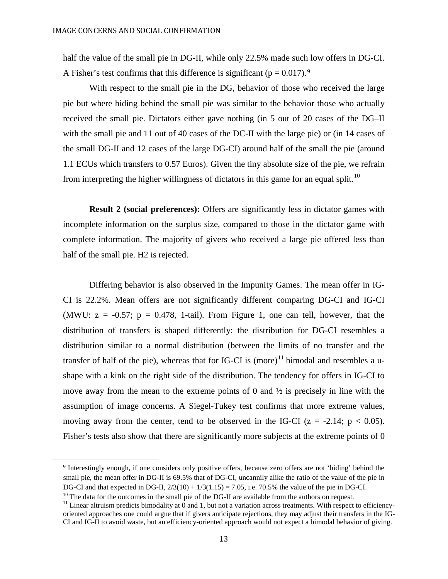half the value of the small pie in DG-II, while only 22.5% made suc[h](#page-14-0) low offers in DG-CI. A Fisher's test confirms that this difference is significant ( $p = 0.017$ ).<sup>9</sup>

With respect to the small pie in the DG, behavior of those who received the large pie but where hiding behind the small pie was similar to the behavior those who actually received the small pie. Dictators either gave nothing (in 5 out of 20 cases of the DG–II with the small pie and 11 out of 40 cases of the DC-II with the large pie) or (in 14 cases of the small DG-II and 12 cases of the large DG-CI) around half of the small the pie (around 1.1 ECUs which transfers to 0.57 Euros). Given the tiny absolute size of the pie, we refrain from interpreting the higher willingness of dictators in this game for an equal split.<sup>[10](#page-14-1)</sup>

**Result 2 (social preferences):** Offers are significantly less in dictator games with incomplete information on the surplus size, compared to those in the dictator game with complete information. The majority of givers who received a large pie offered less than half of the small pie. H2 is rejected.

Differing behavior is also observed in the Impunity Games. The mean offer in IG-CI is 22.2%. Mean offers are not significantly different comparing DG-CI and IG-CI (MWU:  $z = -0.57$ ;  $p = 0.478$ , 1-tail). From Figure 1, one can tell, however, that the distribution of transfers is shaped differently: the distribution for DG-CI resembles a distribution similar to a normal distribution (between the limits of no transfer and the transfer of half of the pie), whereas that for IG-CI is  $(more)^{11}$  $(more)^{11}$  $(more)^{11}$  bimodal and resembles a ushape with a kink on the right side of the distribution. The tendency for offers in IG-CI to move away from the mean to the extreme points of 0 and  $\frac{1}{2}$  is precisely in line with the assumption of image concerns. A Siegel-Tukey test confirms that more extreme values, moving away from the center, tend to be observed in the IG-CI ( $z = -2.14$ ;  $p < 0.05$ ). Fisher's tests also show that there are significantly more subjects at the extreme points of 0

<span id="page-14-0"></span> <sup>9</sup> Interestingly enough, if one considers only positive offers, because zero offers are not 'hiding' behind the small pie, the mean offer in DG-II is 69.5% that of DG-CI, uncannily alike the ratio of the value of the pie in DG-CI and that expected in DG-II,  $2/3(10) + 1/3(1.15) = 7.05$ , i.e. 70.5% the value of the pie in DG-CI.<br><sup>10</sup> The data for the outcomes in the small pie of the DG-II are available from the authors on request.<br><sup>11</sup> Linear a

<span id="page-14-1"></span>

<span id="page-14-2"></span>oriented approaches one could argue that if givers anticipate rejections, they may adjust their transfers in the IG-CI and IG-II to avoid waste, but an efficiency-oriented approach would not expect a bimodal behavior of giving.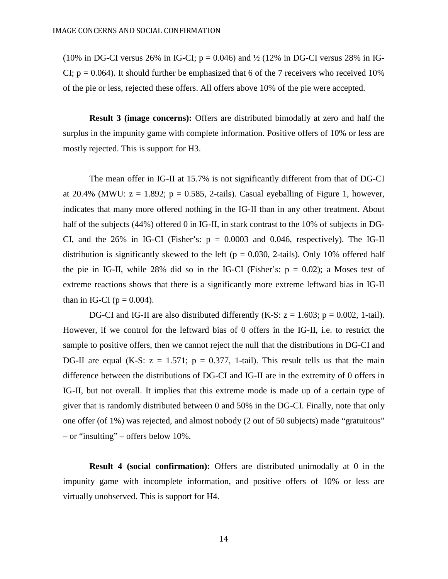(10% in DG-CI versus 26% in IG-CI;  $p = 0.046$ ) and  $\frac{1}{2}$  (12% in DG-CI versus 28% in IG-CI;  $p = 0.064$ ). It should further be emphasized that 6 of the 7 receivers who received 10% of the pie or less, rejected these offers. All offers above 10% of the pie were accepted.

**Result 3 (image concerns):** Offers are distributed bimodally at zero and half the surplus in the impunity game with complete information. Positive offers of 10% or less are mostly rejected. This is support for H3.

The mean offer in IG-II at 15.7% is not significantly different from that of DG-CI at 20.4% (MWU:  $z = 1.892$ ;  $p = 0.585$ , 2-tails). Casual eyeballing of Figure 1, however, indicates that many more offered nothing in the IG-II than in any other treatment. About half of the subjects (44%) offered 0 in IG-II, in stark contrast to the 10% of subjects in DG-CI, and the 26% in IG-CI (Fisher's:  $p = 0.0003$  and 0.046, respectively). The IG-II distribution is significantly skewed to the left ( $p = 0.030$ , 2-tails). Only 10% offered half the pie in IG-II, while 28% did so in the IG-CI (Fisher's:  $p = 0.02$ ); a Moses test of extreme reactions shows that there is a significantly more extreme leftward bias in IG-II than in IG-CI ( $p = 0.004$ ).

DG-CI and IG-II are also distributed differently (K-S:  $z = 1.603$ ;  $p = 0.002$ , 1-tail). However, if we control for the leftward bias of 0 offers in the IG-II, i.e. to restrict the sample to positive offers, then we cannot reject the null that the distributions in DG-CI and DG-II are equal (K-S:  $z = 1.571$ ;  $p = 0.377$ , 1-tail). This result tells us that the main difference between the distributions of DG-CI and IG-II are in the extremity of 0 offers in IG-II, but not overall. It implies that this extreme mode is made up of a certain type of giver that is randomly distributed between 0 and 50% in the DG-CI. Finally, note that only one offer (of 1%) was rejected, and almost nobody (2 out of 50 subjects) made "gratuitous" – or "insulting" – offers below 10%.

**Result 4 (social confirmation):** Offers are distributed unimodally at 0 in the impunity game with incomplete information, and positive offers of 10% or less are virtually unobserved. This is support for H4.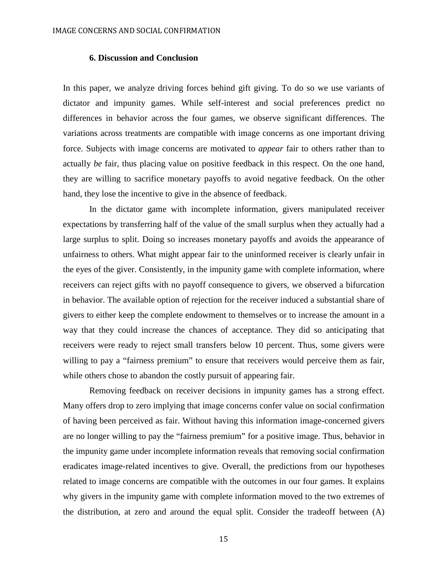#### **6. Discussion and Conclusion**

In this paper, we analyze driving forces behind gift giving. To do so we use variants of dictator and impunity games. While self-interest and social preferences predict no differences in behavior across the four games, we observe significant differences. The variations across treatments are compatible with image concerns as one important driving force. Subjects with image concerns are motivated to *appear* fair to others rather than to actually *be* fair, thus placing value on positive feedback in this respect. On the one hand, they are willing to sacrifice monetary payoffs to avoid negative feedback. On the other hand, they lose the incentive to give in the absence of feedback.

In the dictator game with incomplete information, givers manipulated receiver expectations by transferring half of the value of the small surplus when they actually had a large surplus to split. Doing so increases monetary payoffs and avoids the appearance of unfairness to others. What might appear fair to the uninformed receiver is clearly unfair in the eyes of the giver. Consistently, in the impunity game with complete information, where receivers can reject gifts with no payoff consequence to givers, we observed a bifurcation in behavior. The available option of rejection for the receiver induced a substantial share of givers to either keep the complete endowment to themselves or to increase the amount in a way that they could increase the chances of acceptance. They did so anticipating that receivers were ready to reject small transfers below 10 percent. Thus, some givers were willing to pay a "fairness premium" to ensure that receivers would perceive them as fair, while others chose to abandon the costly pursuit of appearing fair.

Removing feedback on receiver decisions in impunity games has a strong effect. Many offers drop to zero implying that image concerns confer value on social confirmation of having been perceived as fair. Without having this information image-concerned givers are no longer willing to pay the "fairness premium" for a positive image. Thus, behavior in the impunity game under incomplete information reveals that removing social confirmation eradicates image-related incentives to give. Overall, the predictions from our hypotheses related to image concerns are compatible with the outcomes in our four games. It explains why givers in the impunity game with complete information moved to the two extremes of the distribution, at zero and around the equal split. Consider the tradeoff between (A)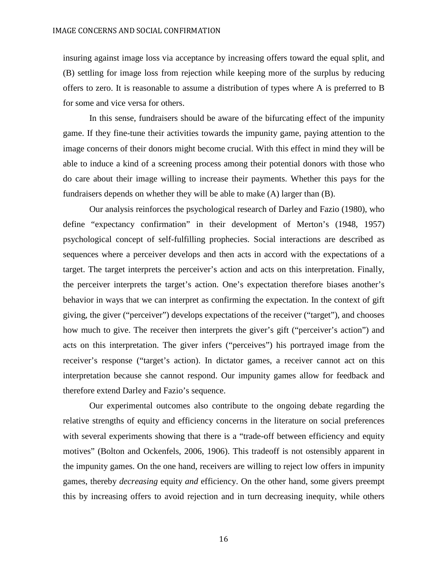insuring against image loss via acceptance by increasing offers toward the equal split, and (B) settling for image loss from rejection while keeping more of the surplus by reducing offers to zero. It is reasonable to assume a distribution of types where A is preferred to B for some and vice versa for others.

In this sense, fundraisers should be aware of the bifurcating effect of the impunity game. If they fine-tune their activities towards the impunity game, paying attention to the image concerns of their donors might become crucial. With this effect in mind they will be able to induce a kind of a screening process among their potential donors with those who do care about their image willing to increase their payments. Whether this pays for the fundraisers depends on whether they will be able to make (A) larger than (B).

Our analysis reinforces the psychological research of Darley and Fazio (1980), who define "expectancy confirmation" in their development of Merton's (1948, 1957) psychological concept of self-fulfilling prophecies. Social interactions are described as sequences where a perceiver develops and then acts in accord with the expectations of a target. The target interprets the perceiver's action and acts on this interpretation. Finally, the perceiver interprets the target's action. One's expectation therefore biases another's behavior in ways that we can interpret as confirming the expectation. In the context of gift giving, the giver ("perceiver") develops expectations of the receiver ("target"), and chooses how much to give. The receiver then interprets the giver's gift ("perceiver's action") and acts on this interpretation. The giver infers ("perceives") his portrayed image from the receiver's response ("target's action). In dictator games, a receiver cannot act on this interpretation because she cannot respond. Our impunity games allow for feedback and therefore extend Darley and Fazio's sequence.

Our experimental outcomes also contribute to the ongoing debate regarding the relative strengths of equity and efficiency concerns in the literature on social preferences with several experiments showing that there is a "trade-off between efficiency and equity motives" (Bolton and Ockenfels, 2006, 1906). This tradeoff is not ostensibly apparent in the impunity games. On the one hand, receivers are willing to reject low offers in impunity games, thereby *decreasing* equity *and* efficiency. On the other hand, some givers preempt this by increasing offers to avoid rejection and in turn decreasing inequity, while others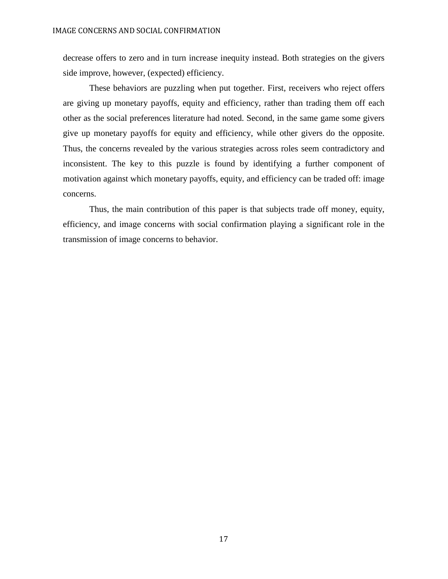decrease offers to zero and in turn increase inequity instead. Both strategies on the givers side improve, however, (expected) efficiency.

These behaviors are puzzling when put together. First, receivers who reject offers are giving up monetary payoffs, equity and efficiency, rather than trading them off each other as the social preferences literature had noted. Second, in the same game some givers give up monetary payoffs for equity and efficiency, while other givers do the opposite. Thus, the concerns revealed by the various strategies across roles seem contradictory and inconsistent. The key to this puzzle is found by identifying a further component of motivation against which monetary payoffs, equity, and efficiency can be traded off: image concerns.

Thus, the main contribution of this paper is that subjects trade off money, equity, efficiency, and image concerns with social confirmation playing a significant role in the transmission of image concerns to behavior.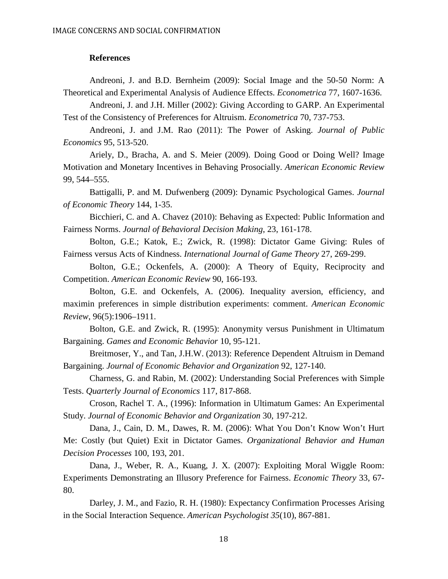#### **References**

Andreoni, J. and B.D. Bernheim (2009): Social Image and the 50-50 Norm: A Theoretical and Experimental Analysis of Audience Effects. *Econometrica* 77, 1607-1636.

Andreoni, J. and J.H. Miller (2002): Giving According to GARP. An Experimental Test of the Consistency of Preferences for Altruism. *Econometrica* 70, 737-753.

Andreoni, J. and J.M. Rao (2011): The Power of Asking. *Journal of Public Economics* 95, 513-520.

Ariely, D., Bracha, A. and S. Meier (2009). Doing Good or Doing Well? Image Motivation and Monetary Incentives in Behaving Prosocially. *American Economic Review* 99, 544–555.

Battigalli, P. and M. Dufwenberg (2009): Dynamic Psychological Games. *Journal of Economic Theory* 144, 1-35.

Bicchieri, C. and A. Chavez (2010): Behaving as Expected: Public Information and Fairness Norms. *Journal of Behavioral Decision Making*, 23, 161-178.

Bolton, G.E.; Katok, E.; Zwick, R. (1998): Dictator Game Giving: Rules of Fairness versus Acts of Kindness. *International Journal of Game Theory* 27, 269-299.

Bolton, G.E.; Ockenfels, A. (2000): A Theory of Equity, Reciprocity and Competition. *American Economic Review* 90, 166-193.

Bolton, G.E. and Ockenfels, A. (2006). Inequality aversion, efficiency, and maximin preferences in simple distribution experiments: comment. *American Economic Review*, 96(5):1906–1911.

Bolton, G.E. and Zwick, R. (1995): Anonymity versus Punishment in Ultimatum Bargaining. *Games and Economic Behavior* 10, 95-121.

Breitmoser, Y., and Tan, J.H.W. (2013): Reference Dependent Altruism in Demand Bargaining. *Journal of Economic Behavior and Organization* 92, 127-140.

Charness, G. and Rabin, M. (2002): Understanding Social Preferences with Simple Tests. *Quarterly Journal of Economics* 117, 817-868.

Croson, Rachel T. A., (1996): Information in Ultimatum Games: An Experimental Study. *Journal of Economic Behavior and Organization* 30, 197-212.

Dana, J., Cain, D. M., Dawes, R. M. (2006): What You Don't Know Won't Hurt Me: Costly (but Quiet) Exit in Dictator Games. *Organizational Behavior and Human Decision Processes* 100, 193, 201.

Dana, J., Weber, R. A., Kuang, J. X. (2007): Exploiting Moral Wiggle Room: Experiments Demonstrating an Illusory Preference for Fairness. *Economic Theory* 33, 67- 80.

Darley, J. M., and Fazio, R. H. (1980): Expectancy Confirmation Processes Arising in the Social Interaction Sequence. *American Psychologist 35*(10), 867-881.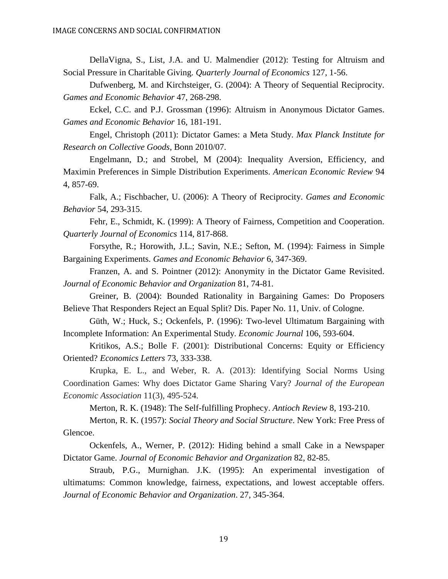DellaVigna, S., List, J.A. and U. Malmendier (2012): Testing for Altruism and Social Pressure in Charitable Giving. *Quarterly Journal of Economics* 127, 1-56.

Dufwenberg, M. and Kirchsteiger, G. (2004): A Theory of Sequential Reciprocity. *Games and Economic Behavior* 47, 268-298.

Eckel, C.C. and P.J. Grossman (1996): Altruism in Anonymous Dictator Games. *Games and Economic Behavior* 16, 181-191.

Engel, Christoph (2011): Dictator Games: a Meta Study. *Max Planck Institute for Research on Collective Goods*, Bonn 2010/07.

Engelmann, D.; and Strobel, M (2004): Inequality Aversion, Efficiency, and Maximin Preferences in Simple Distribution Experiments. *American Economic Review* 94 4, 857-69.

Falk, A.; Fischbacher, U. (2006): A Theory of Reciprocity. *Games and Economic Behavior* 54, 293-315.

Fehr, E., Schmidt, K. (1999): A Theory of Fairness, Competition and Cooperation. *Quarterly Journal of Economics* 114, 817-868.

Forsythe, R.; Horowith, J.L.; Savin, N.E.; Sefton, M. (1994): Fairness in Simple Bargaining Experiments. *Games and Economic Behavior* 6, 347-369.

Franzen, A. and S. Pointner (2012): Anonymity in the Dictator Game Revisited. *Journal of Economic Behavior and Organization* 81, 74-81.

Greiner, B. (2004): Bounded Rationality in Bargaining Games: Do Proposers Believe That Responders Reject an Equal Split? Dis. Paper No. 11, Univ. of Cologne.

Güth, W.; Huck, S.; Ockenfels, P. (1996): Two-level Ultimatum Bargaining with Incomplete Information: An Experimental Study. *Economic Journal* 106, 593-604.

Kritikos, A.S.; Bolle F. (2001): Distributional Concerns: Equity or Efficiency Oriented? *Economics Letters* 73, 333-338.

Krupka, E. L., and Weber, R. A. (2013): Identifying Social Norms Using Coordination Games: Why does Dictator Game Sharing Vary? *Journal of the European Economic Association* 11(3), 495-524.

Merton, R. K. (1948): The Self-fulfilling Prophecy. *Antioch Review* 8, 193-210.

Merton, R. K. (1957): *Social Theory and Social Structure*. New York: Free Press of Glencoe.

Ockenfels, A., Werner, P. (2012): Hiding behind a small Cake in a Newspaper Dictator Game. *Journal of Economic Behavior and Organization* 82, 82-85.

Straub, P.G., [Murnighan.](http://www.kellogg.northwestern.edu/Faculty/Directory/Murnighan_J_Keith.aspx) J.K. (1995): An experimental investigation of ultimatums: Common knowledge, fairness, expectations, and lowest acceptable offers. *Journal of Economic Behavior and Organization*. 27, 345-364.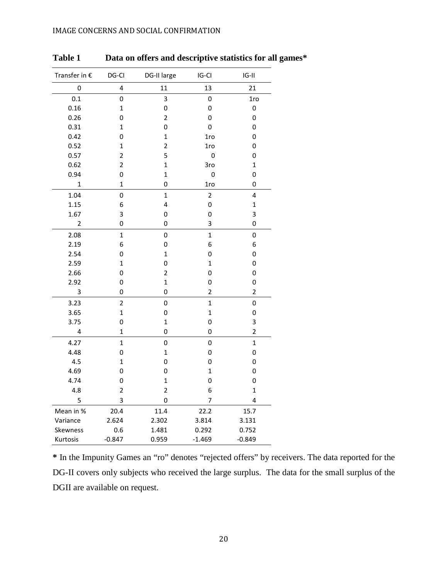#### IMAGE CONCERNS AND SOCIAL CONFIRMATION

| Transfer in $\epsilon$  | DG-CI            | DG-II large             | $IG-CI$        | $ G-I $                 |
|-------------------------|------------------|-------------------------|----------------|-------------------------|
| $\pmb{0}$               | 4                | 11                      | 13             | 21                      |
| 0.1                     | $\boldsymbol{0}$ | 3                       | $\pmb{0}$      | 1ro                     |
| 0.16                    | $\mathbf{1}$     | $\mathbf 0$             | 0              | 0                       |
| 0.26                    | $\boldsymbol{0}$ | $\overline{2}$          | 0              | 0                       |
| 0.31                    | $\mathbf{1}$     | $\mathbf 0$             | 0              | 0                       |
| 0.42                    | $\pmb{0}$        | $\mathbf 1$             | 1ro            | $\boldsymbol{0}$        |
| 0.52                    | $\mathbf{1}$     | $\overline{c}$          | 1ro            | $\pmb{0}$               |
| 0.57                    | $\overline{2}$   | 5                       | $\pmb{0}$      | $\pmb{0}$               |
| 0.62                    | $\mathbf 2$      | $\mathbf{1}$            | 3ro            | $\mathbf{1}$            |
| 0.94                    | 0                | $\mathbf{1}$            | 0              | $\pmb{0}$               |
| $\mathbf 1$             | $\mathbf{1}$     | 0                       | 1ro            | $\boldsymbol{0}$        |
| 1.04                    | $\pmb{0}$        | $\mathbf{1}$            | $\overline{2}$ | $\overline{\mathbf{4}}$ |
| 1.15                    | 6                | 4                       | 0              | $\mathbf 1$             |
| 1.67                    | 3                | $\pmb{0}$               | 0              | 3                       |
| $\overline{\mathbf{c}}$ | $\pmb{0}$        | $\boldsymbol{0}$        | 3              | $\mathbf 0$             |
| 2.08                    | $\mathbf 1$      | $\mathbf 0$             | $\mathbf 1$    | 0                       |
| 2.19                    | 6                | $\pmb{0}$               | 6              | 6                       |
| 2.54                    | $\boldsymbol{0}$ | $\mathbf 1$             | 0              | 0                       |
| 2.59                    | $\mathbf{1}$     | $\pmb{0}$               | $\mathbf{1}$   | 0                       |
| 2.66                    | $\pmb{0}$        | $\overline{\mathbf{c}}$ | 0              | 0                       |
| 2.92                    | $\boldsymbol{0}$ | $\mathbf{1}$            | 0              | $\pmb{0}$               |
| 3                       | $\pmb{0}$        | $\mathbf 0$             | $\overline{2}$ | $\overline{c}$          |
| 3.23                    | $\overline{c}$   | $\mathbf 0$             | $\mathbf{1}$   | 0                       |
| 3.65                    | $\mathbf{1}$     | $\pmb{0}$               | $\mathbf{1}$   | $\pmb{0}$               |
| 3.75                    | $\pmb{0}$        | $\mathbf{1}$            | 0              | 3                       |
| 4                       | $\mathbf{1}$     | $\pmb{0}$               | 0              | $\overline{2}$          |
| 4.27                    | $\overline{1}$   | $\mathbf 0$             | 0              | $\mathbf{1}$            |
| 4.48                    | $\pmb{0}$        | $\mathbf{1}$            | 0              | $\mathbf 0$             |
| 4.5                     | $\mathbf{1}$     | $\mathbf 0$             | 0              | $\boldsymbol{0}$        |
| 4.69                    | $\boldsymbol{0}$ | 0                       | $\mathbf 1$    | $\boldsymbol{0}$        |
| 4.74                    | 0                | $\mathbf{1}$            | 0              | 0                       |
| 4.8                     | $\overline{2}$   | $\overline{2}$          | 6              | $\mathbf{1}$            |
| 5                       | 3                | 0                       | 7              | 4                       |
| Mean in %               | 20.4             | 11.4                    | 22.2           | 15.7                    |
| Variance                | 2.624            | 2.302                   | 3.814          | 3.131                   |
| Skewness                | 0.6              | 1.481                   | 0.292          | 0.752                   |
| Kurtosis                | $-0.847$         | 0.959                   | $-1.469$       | $-0.849$                |

**Table 1 Data on offers and descriptive statistics for all games\*** 

**\*** In the Impunity Games an "ro" denotes "rejected offers" by receivers. The data reported for the DG-II covers only subjects who received the large surplus. The data for the small surplus of the DGII are available on request.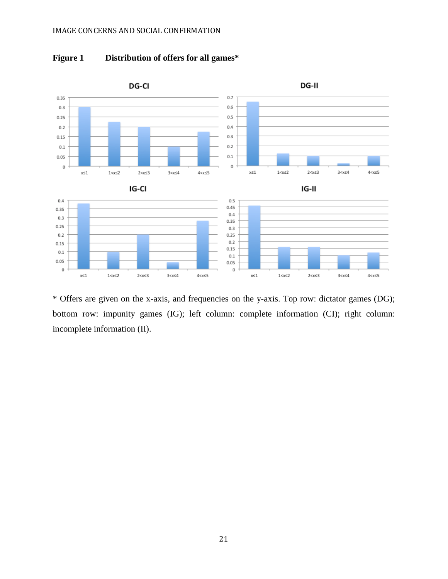#### IMAGE CONCERNS AND SOCIAL CONFIRMATION



## **Figure 1 Distribution of offers for all games\***

\* Offers are given on the x-axis, and frequencies on the y-axis. Top row: dictator games (DG); bottom row: impunity games (IG); left column: complete information (CI); right column: incomplete information (II).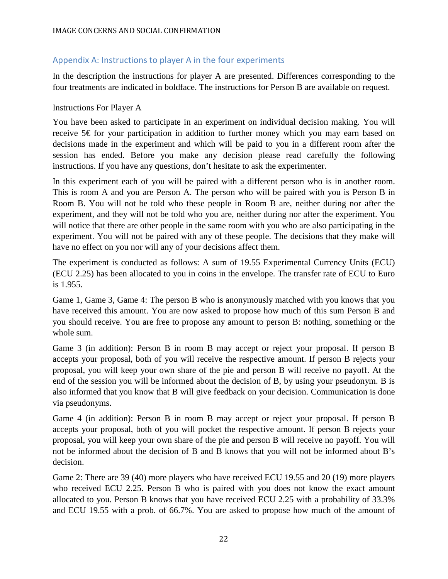### Appendix A: Instructions to player A in the four experiments

In the description the instructions for player A are presented. Differences corresponding to the four treatments are indicated in boldface. The instructions for Person B are available on request.

#### Instructions For Player A

You have been asked to participate in an experiment on individual decision making. You will receive 5€ for your participation in addition to further money which you may earn based on decisions made in the experiment and which will be paid to you in a different room after the session has ended. Before you make any decision please read carefully the following instructions. If you have any questions, don't hesitate to ask the experimenter.

In this experiment each of you will be paired with a different person who is in another room. This is room A and you are Person A. The person who will be paired with you is Person B in Room B. You will not be told who these people in Room B are, neither during nor after the experiment, and they will not be told who you are, neither during nor after the experiment. You will notice that there are other people in the same room with you who are also participating in the experiment. You will not be paired with any of these people. The decisions that they make will have no effect on you nor will any of your decisions affect them.

The experiment is conducted as follows: A sum of 19.55 Experimental Currency Units (ECU) (ECU 2.25) has been allocated to you in coins in the envelope. The transfer rate of ECU to Euro is 1.955.

Game 1, Game 3, Game 4: The person B who is anonymously matched with you knows that you have received this amount. You are now asked to propose how much of this sum Person B and you should receive. You are free to propose any amount to person B: nothing, something or the whole sum.

Game 3 (in addition): Person B in room B may accept or reject your proposal. If person B accepts your proposal, both of you will receive the respective amount. If person B rejects your proposal, you will keep your own share of the pie and person B will receive no payoff. At the end of the session you will be informed about the decision of B, by using your pseudonym. B is also informed that you know that B will give feedback on your decision. Communication is done via pseudonyms.

Game 4 (in addition): Person B in room B may accept or reject your proposal. If person B accepts your proposal, both of you will pocket the respective amount. If person B rejects your proposal, you will keep your own share of the pie and person B will receive no payoff. You will not be informed about the decision of B and B knows that you will not be informed about B's decision.

Game 2: There are 39 (40) more players who have received ECU 19.55 and 20 (19) more players who received ECU 2.25. Person B who is paired with you does not know the exact amount allocated to you. Person B knows that you have received ECU 2.25 with a probability of 33.3% and ECU 19.55 with a prob. of 66.7%. You are asked to propose how much of the amount of